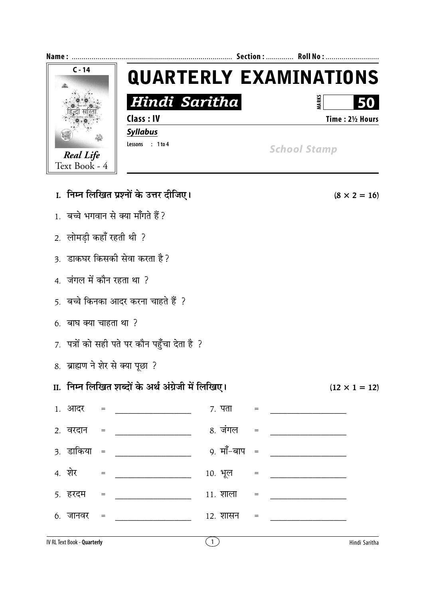

| I.  निम्न लिखित प्रश्नों के उत्तर दीजिए।     |                                                     |               |                                   |  |  |  |
|----------------------------------------------|-----------------------------------------------------|---------------|-----------------------------------|--|--|--|
| 1. बच्चे भगवान से क्या माँगते हैं?           |                                                     |               |                                   |  |  |  |
|                                              | 2. लोमड़ी कहाँ रहती थी ?                            |               |                                   |  |  |  |
| 3.  डाकघर किसकी सेवा करता है ?               |                                                     |               |                                   |  |  |  |
| 4. जंगल में कौन रहता था ?                    |                                                     |               |                                   |  |  |  |
| 5.  बच्चे किनका आदर करना चाहते हैं  ?        |                                                     |               |                                   |  |  |  |
| 6. बाघ क्या चाहता था ?                       |                                                     |               |                                   |  |  |  |
| 7. पत्रों को सही पते पर कौन पहुँचा देता है ? |                                                     |               |                                   |  |  |  |
| 8. ब्राह्मण ने शेर से क्या पूछा ?            |                                                     |               |                                   |  |  |  |
|                                              | II.  निम्न लिखित शब्दों के अर्थ अंग्रेजी में लिखिए। |               |                                   |  |  |  |
|                                              | $1.$ आदर =                                          | $7.$ पता =    |                                   |  |  |  |
|                                              |                                                     | 8. जंगल       | $\hspace{1.6cm} = \hspace{1.6cm}$ |  |  |  |
|                                              | 3. डाकिया = _________________                       | 9. मॉॅं–बाप = |                                   |  |  |  |
| $4. \overline{21} =$                         |                                                     | $10.$ भूल =   |                                   |  |  |  |
| 5. हरदम =                                    |                                                     | $11.$ शाला =  |                                   |  |  |  |
| $6.$ जानवर =                                 |                                                     | 12. शासन      | $=$                               |  |  |  |
|                                              |                                                     |               |                                   |  |  |  |

 $(8 \times 2 = 16)$ 

 $(12 \times 1 = 12)$